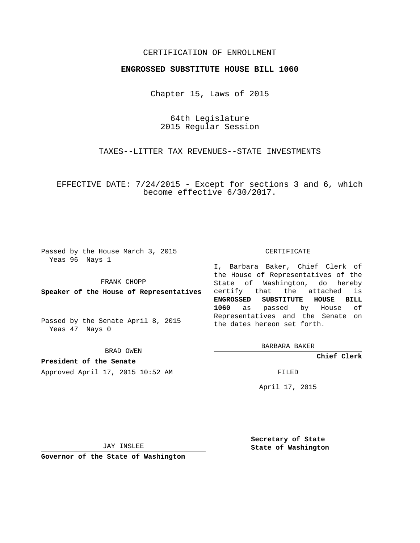## CERTIFICATION OF ENROLLMENT

## **ENGROSSED SUBSTITUTE HOUSE BILL 1060**

Chapter 15, Laws of 2015

64th Legislature 2015 Regular Session

TAXES--LITTER TAX REVENUES--STATE INVESTMENTS

EFFECTIVE DATE: 7/24/2015 - Except for sections 3 and 6, which become effective 6/30/2017.

Passed by the House March 3, 2015 Yeas 96 Nays 1

FRANK CHOPP

**Speaker of the House of Representatives**

Passed by the Senate April 8, 2015 Yeas 47 Nays 0

BRAD OWEN

**President of the Senate** Approved April 17, 2015 10:52 AM FILED

CERTIFICATE

I, Barbara Baker, Chief Clerk of the House of Representatives of the State of Washington, do hereby certify that the attached is **ENGROSSED SUBSTITUTE HOUSE BILL 1060** as passed by House of Representatives and the Senate on the dates hereon set forth.

BARBARA BAKER

**Chief Clerk**

April 17, 2015

JAY INSLEE

**Governor of the State of Washington**

**Secretary of State State of Washington**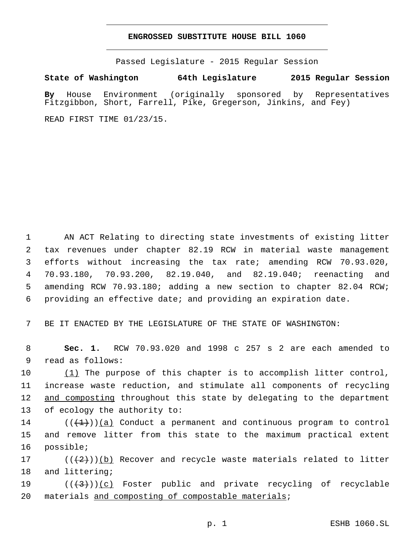## **ENGROSSED SUBSTITUTE HOUSE BILL 1060**

Passed Legislature - 2015 Regular Session

**State of Washington 64th Legislature 2015 Regular Session**

**By** House Environment (originally sponsored by Representatives Fitzgibbon, Short, Farrell, Pike, Gregerson, Jinkins, and Fey)

READ FIRST TIME 01/23/15.

 AN ACT Relating to directing state investments of existing litter tax revenues under chapter 82.19 RCW in material waste management efforts without increasing the tax rate; amending RCW 70.93.020, 70.93.180, 70.93.200, 82.19.040, and 82.19.040; reenacting and amending RCW 70.93.180; adding a new section to chapter 82.04 RCW; providing an effective date; and providing an expiration date.

7 BE IT ENACTED BY THE LEGISLATURE OF THE STATE OF WASHINGTON:

8 **Sec. 1.** RCW 70.93.020 and 1998 c 257 s 2 are each amended to 9 read as follows:

10 (1) The purpose of this chapter is to accomplish litter control, 11 increase waste reduction, and stimulate all components of recycling 12 and composting throughout this state by delegating to the department 13 of ecology the authority to:

14  $((+1))$  (a) Conduct a permanent and continuous program to control 15 and remove litter from this state to the maximum practical extent 16 possible;

17  $((+2+))$  (b) Recover and recycle waste materials related to litter 18 and littering;

19  $((+3+))$  (c) Foster public and private recycling of recyclable 20 materials and composting of compostable materials;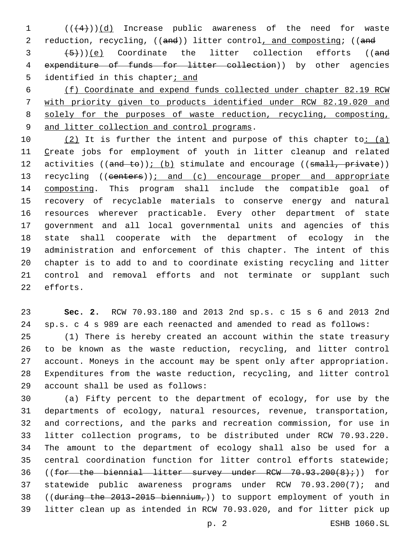(( $(4)$ ))(d) Increase public awareness of the need for waste 2 reduction, recycling, ((and)) litter control, and composting; ((and

 $(3 + 5)$ ))(e) Coordinate the litter collection efforts ((and 4 expenditure of funds for litter collection)) by other agencies 5 identified in this chapter $i$  and

 (f) Coordinate and expend funds collected under chapter 82.19 RCW with priority given to products identified under RCW 82.19.020 and solely for the purposes of waste reduction, recycling, composting, 9 and litter collection and control programs.

 $(2)$  It is further the intent and purpose of this chapter to:  $(a)$  Create jobs for employment of youth in litter cleanup and related 12 activities  $((and to))$ ; (b) stimulate and encourage  $((small, private))$ 13 recycling ((centers)): and (c) encourage proper and appropriate composting. This program shall include the compatible goal of recovery of recyclable materials to conserve energy and natural resources wherever practicable. Every other department of state government and all local governmental units and agencies of this state shall cooperate with the department of ecology in the administration and enforcement of this chapter. The intent of this chapter is to add to and to coordinate existing recycling and litter control and removal efforts and not terminate or supplant such 22 efforts.

 **Sec. 2.** RCW 70.93.180 and 2013 2nd sp.s. c 15 s 6 and 2013 2nd sp.s. c 4 s 989 are each reenacted and amended to read as follows: (1) There is hereby created an account within the state treasury to be known as the waste reduction, recycling, and litter control account. Moneys in the account may be spent only after appropriation. Expenditures from the waste reduction, recycling, and litter control account shall be used as follows:29

 (a) Fifty percent to the department of ecology, for use by the departments of ecology, natural resources, revenue, transportation, and corrections, and the parks and recreation commission, for use in litter collection programs, to be distributed under RCW 70.93.220. The amount to the department of ecology shall also be used for a central coordination function for litter control efforts statewide; 36 ((for the biennial litter survey under RCW  $70.93.200(8)$ ;)) for statewide public awareness programs under RCW 70.93.200(7); and 38 ((during the 2013-2015 biennium,)) to support employment of youth in litter clean up as intended in RCW 70.93.020, and for litter pick up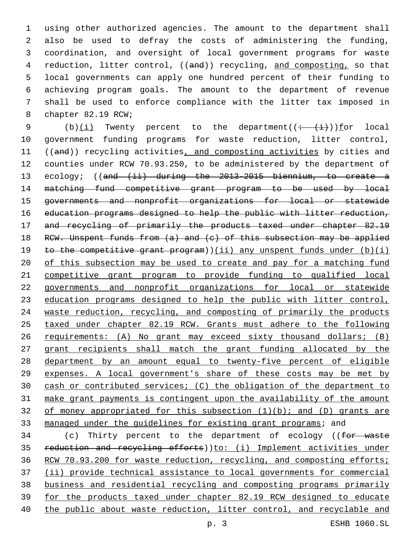using other authorized agencies. The amount to the department shall also be used to defray the costs of administering the funding, coordination, and oversight of local government programs for waste 4 reduction, litter control, ((and)) recycling, and composting, so that local governments can apply one hundred percent of their funding to achieving program goals. The amount to the department of revenue shall be used to enforce compliance with the litter tax imposed in 8 chapter 82.19 RCW;

9 (b) $(i)$  Twenty percent to the department( $(i - (i))$ ) for local government funding programs for waste reduction, litter control, 11 ((and)) recycling activities, and composting activities by cities and counties under RCW 70.93.250, to be administered by the department of 13 ecology; ((and (ii) during the 2013-2015 biennium, to create a matching fund competitive grant program to be used by local governments and nonprofit organizations for local or statewide education programs designed to help the public with litter reduction, 17 and recycling of primarily the products taxed under chapter 82.19 18 RCW. Unspent funds from  $(a)$  and  $(c)$  of this subsection may be applied 19 to the competitive grant program))(ii) any unspent funds under  $(b)(i)$  of this subsection may be used to create and pay for a matching fund competitive grant program to provide funding to qualified local governments and nonprofit organizations for local or statewide education programs designed to help the public with litter control, waste reduction, recycling, and composting of primarily the products taxed under chapter 82.19 RCW. Grants must adhere to the following requirements: (A) No grant may exceed sixty thousand dollars; (B) grant recipients shall match the grant funding allocated by the department by an amount equal to twenty-five percent of eligible expenses. A local government's share of these costs may be met by cash or contributed services; (C) the obligation of the department to make grant payments is contingent upon the availability of the amount 32 of money appropriated for this subsection  $(1)(b)$ ; and  $(D)$  grants are managed under the guidelines for existing grant programs; and

34 (c) Thirty percent to the department of ecology ((for waste 35 reduction and recycling efforts))to: (i) Implement activities under 36 RCW 70.93.200 for waste reduction, recycling, and composting efforts; (ii) provide technical assistance to local governments for commercial business and residential recycling and composting programs primarily for the products taxed under chapter 82.19 RCW designed to educate the public about waste reduction, litter control, and recyclable and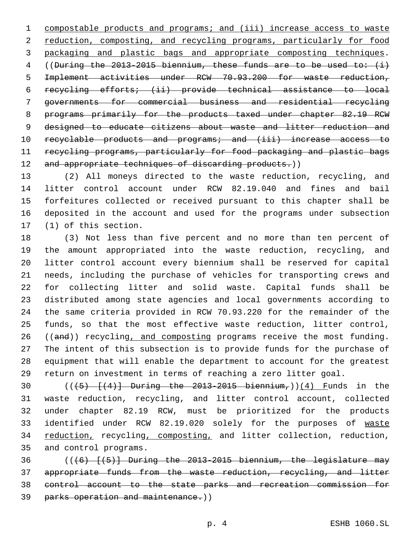compostable products and programs; and (iii) increase access to waste reduction, composting, and recycling programs, particularly for food packaging and plastic bags and appropriate composting techniques. ((During the 2013-2015 biennium, these funds are to be used to: (i) Implement activities under RCW 70.93.200 for waste reduction, recycling efforts; (ii) provide technical assistance to local governments for commercial business and residential recycling programs primarily for the products taxed under chapter 82.19 RCW 9 designed to educate citizens about waste and litter reduction and 10 recyclable products and programs; and (iii) increase access to recycling programs, particularly for food packaging and plastic bags 12 and appropriate techniques of discarding products.))

 (2) All moneys directed to the waste reduction, recycling, and litter control account under RCW 82.19.040 and fines and bail forfeitures collected or received pursuant to this chapter shall be deposited in the account and used for the programs under subsection 17 (1) of this section.

 (3) Not less than five percent and no more than ten percent of the amount appropriated into the waste reduction, recycling, and litter control account every biennium shall be reserved for capital needs, including the purchase of vehicles for transporting crews and for collecting litter and solid waste. Capital funds shall be distributed among state agencies and local governments according to the same criteria provided in RCW 70.93.220 for the remainder of the funds, so that the most effective waste reduction, litter control, 26 ((and)) recycling, and composting programs receive the most funding. The intent of this subsection is to provide funds for the purchase of equipment that will enable the department to account for the greatest return on investment in terms of reaching a zero litter goal.

30 ( $(\frac{45}{12})$   $(\frac{4}{3})$  During the 2013-2015 biennium,))(4) Funds in the waste reduction, recycling, and litter control account, collected under chapter 82.19 RCW, must be prioritized for the products 33 identified under RCW 82.19.020 solely for the purposes of waste 34 reduction, recycling, composting, and litter collection, reduction, 35 and control programs.

 $((+6) - [(5)]$  During the 2013-2015 biennium, the legislature may appropriate funds from the waste reduction, recycling, and litter control account to the state parks and recreation commission for parks operation and maintenance.))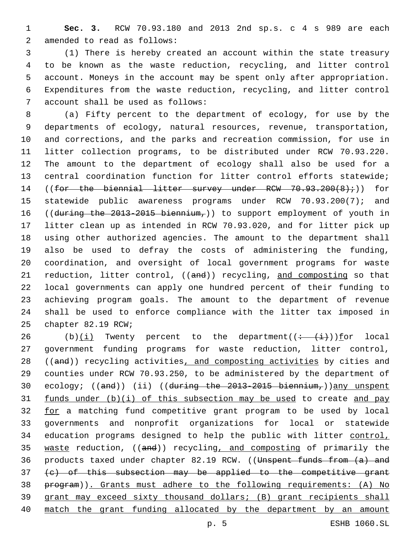**Sec. 3.** RCW 70.93.180 and 2013 2nd sp.s. c 4 s 989 are each 2 amended to read as follows:

 (1) There is hereby created an account within the state treasury to be known as the waste reduction, recycling, and litter control account. Moneys in the account may be spent only after appropriation. Expenditures from the waste reduction, recycling, and litter control 7 account shall be used as follows:

 (a) Fifty percent to the department of ecology, for use by the departments of ecology, natural resources, revenue, transportation, and corrections, and the parks and recreation commission, for use in litter collection programs, to be distributed under RCW 70.93.220. The amount to the department of ecology shall also be used for a central coordination function for litter control efforts statewide; 14 ((for the biennial litter survey under RCW 70.93.200(8);)) for statewide public awareness programs under RCW 70.93.200(7); and 16 ((during the 2013-2015 biennium,)) to support employment of youth in litter clean up as intended in RCW 70.93.020, and for litter pick up using other authorized agencies. The amount to the department shall also be used to defray the costs of administering the funding, coordination, and oversight of local government programs for waste 21 reduction, litter control, ((and)) recycling, and composting so that local governments can apply one hundred percent of their funding to achieving program goals. The amount to the department of revenue shall be used to enforce compliance with the litter tax imposed in 25 chapter 82.19 RCW;

26 (b) $(i)$  Twenty percent to the department( $\frac{(- + i)}{i})$  for local government funding programs for waste reduction, litter control, 28 ((and)) recycling activities, and composting activities by cities and counties under RCW 70.93.250, to be administered by the department of 30 ecology; ((and)) (ii) ((during the 2013-2015 biennium,))any unspent 31 funds under  $(b)(i)$  of this subsection may be used to create and pay 32 for a matching fund competitive grant program to be used by local governments and nonprofit organizations for local or statewide 34 education programs designed to help the public with litter control, 35 waste reduction, ((and)) recycling, and composting of primarily the 36 products taxed under chapter 82.19 RCW. ((Unspent funds from  $(a)$  and (c) of this subsection may be applied to the competitive grant program)). Grants must adhere to the following requirements: (A) No grant may exceed sixty thousand dollars; (B) grant recipients shall match the grant funding allocated by the department by an amount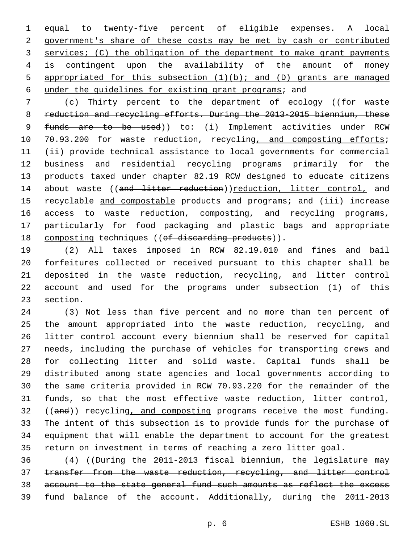equal to twenty-five percent of eligible expenses. A local government's share of these costs may be met by cash or contributed services; (C) the obligation of the department to make grant payments is contingent upon the availability of the amount of money appropriated for this subsection (1)(b); and (D) grants are managed under the guidelines for existing grant programs; and

7 (c) Thirty percent to the department of ecology ((for waste reduction and recycling efforts. During the 2013-2015 biennium, these 9 funds are to be used)) to: (i) Implement activities under RCW 10 70.93.200 for waste reduction, recycling, and composting efforts; (ii) provide technical assistance to local governments for commercial business and residential recycling programs primarily for the products taxed under chapter 82.19 RCW designed to educate citizens 14 about waste ((and litter reduction))reduction, litter control, and 15 recyclable and compostable products and programs; and (iii) increase 16 access to waste reduction, composting, and recycling programs, particularly for food packaging and plastic bags and appropriate 18 composting techniques ((of discarding products)).

 (2) All taxes imposed in RCW 82.19.010 and fines and bail forfeitures collected or received pursuant to this chapter shall be deposited in the waste reduction, recycling, and litter control account and used for the programs under subsection (1) of this 23 section.

 (3) Not less than five percent and no more than ten percent of the amount appropriated into the waste reduction, recycling, and litter control account every biennium shall be reserved for capital needs, including the purchase of vehicles for transporting crews and for collecting litter and solid waste. Capital funds shall be distributed among state agencies and local governments according to the same criteria provided in RCW 70.93.220 for the remainder of the funds, so that the most effective waste reduction, litter control, 32 ((and)) recycling, and composting programs receive the most funding. The intent of this subsection is to provide funds for the purchase of equipment that will enable the department to account for the greatest return on investment in terms of reaching a zero litter goal.

 (4) ((During the 2011-2013 fiscal biennium, the legislature may transfer from the waste reduction, recycling, and litter control account to the state general fund such amounts as reflect the excess fund balance of the account. Additionally, during the 2011-2013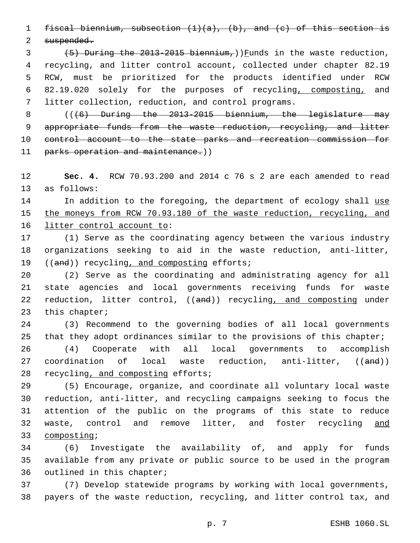1 fiscal biennium, subsection  $(1)(a)$ ,  $(b)$ , and  $(c)$  of this section is

2 suspended.

 $(5)$  During the 2013-2015 biennium,)) Funds in the waste reduction, recycling, and litter control account, collected under chapter 82.19 RCW, must be prioritized for the products identified under RCW 82.19.020 solely for the purposes of recycling, composting, and litter collection, reduction, and control programs.

8  $((6)$  During the 2013-2015 biennium, the legislature may 9 appropriate funds from the waste reduction, recycling, and litter 10 control account to the state parks and recreation commission for 11 parks operation and maintenance.))

12 **Sec. 4.** RCW 70.93.200 and 2014 c 76 s 2 are each amended to read 13 as follows:

14 In addition to the foregoing, the department of ecology shall use 15 the moneys from RCW 70.93.180 of the waste reduction, recycling, and 16 litter control account to:

17 (1) Serve as the coordinating agency between the various industry 18 organizations seeking to aid in the waste reduction, anti-litter, 19 ((and)) recycling, and composting efforts;

20 (2) Serve as the coordinating and administrating agency for all 21 state agencies and local governments receiving funds for waste 22 reduction, litter control, ((and)) recycling, and composting under 23 this chapter;

24 (3) Recommend to the governing bodies of all local governments 25 that they adopt ordinances similar to the provisions of this chapter;

26 (4) Cooperate with all local governments to accomplish 27 coordination of local waste reduction, anti-litter, ((and)) 28 recycling, and composting efforts;

 (5) Encourage, organize, and coordinate all voluntary local waste reduction, anti-litter, and recycling campaigns seeking to focus the attention of the public on the programs of this state to reduce waste, control and remove litter, and foster recycling and 33 composting;

34 (6) Investigate the availability of, and apply for funds 35 available from any private or public source to be used in the program 36 outlined in this chapter;

37 (7) Develop statewide programs by working with local governments, 38 payers of the waste reduction, recycling, and litter control tax, and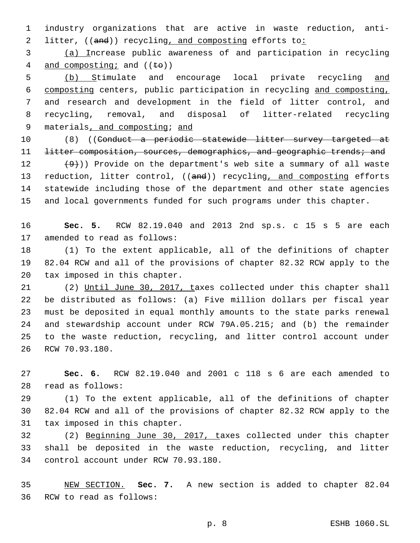1 industry organizations that are active in waste reduction, anti-2 litter, ((and)) recycling, and composting efforts to:

3 (a) Increase public awareness of and participation in recycling 4 and composting; and  $((\pm \theta))$ 

 (b) Stimulate and encourage local private recycling and composting centers, public participation in recycling and composting, and research and development in the field of litter control, and recycling, removal, and disposal of litter-related recycling 9 materials, and composting; and

10 (8) ((Conduct a periodic statewide litter survey targeted at 11 <del>litter composition, sources, demographics, and geographic trends; and</del>

 $(9)$ )) Provide on the department's web site a summary of all waste 13 reduction, litter control, ((and)) recycling, and composting efforts statewide including those of the department and other state agencies and local governments funded for such programs under this chapter.

16 **Sec. 5.** RCW 82.19.040 and 2013 2nd sp.s. c 15 s 5 are each 17 amended to read as follows:

18 (1) To the extent applicable, all of the definitions of chapter 19 82.04 RCW and all of the provisions of chapter 82.32 RCW apply to the 20 tax imposed in this chapter.

 (2) Until June 30, 2017, taxes collected under this chapter shall be distributed as follows: (a) Five million dollars per fiscal year must be deposited in equal monthly amounts to the state parks renewal and stewardship account under RCW 79A.05.215; and (b) the remainder to the waste reduction, recycling, and litter control account under 26 RCW 70.93.180.

27 **Sec. 6.** RCW 82.19.040 and 2001 c 118 s 6 are each amended to read as follows:28

29 (1) To the extent applicable, all of the definitions of chapter 30 82.04 RCW and all of the provisions of chapter 82.32 RCW apply to the 31 tax imposed in this chapter.

32 (2) Beginning June 30, 2017, taxes collected under this chapter 33 shall be deposited in the waste reduction, recycling, and litter 34 control account under RCW 70.93.180.

35 NEW SECTION. **Sec. 7.** A new section is added to chapter 82.04 36 RCW to read as follows: